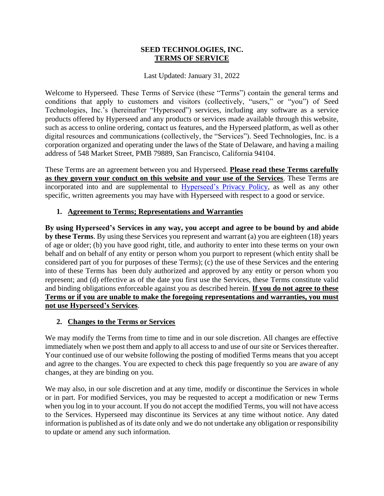#### **SEED TECHNOLOGIES, INC. TERMS OF SERVICE**

Last Updated: January 31, 2022

Welcome to Hyperseed. These Terms of Service (these "Terms") contain the general terms and conditions that apply to customers and visitors (collectively, "users," or "you") of Seed Technologies, Inc.'s (hereinafter "Hyperseed") services, including any software as a service products offered by Hyperseed and any products or services made available through this website, such as access to online ordering, contact us features, and the Hyperseed platform, as well as other digital resources and communications (collectively, the "Services"). Seed Technologies, Inc. is a corporation organized and operating under the laws of the State of Delaware, and having a mailing address of 548 Market Street, PMB 79889, San Francisco, California 94104.

These Terms are an agreement between you and Hyperseed. **Please read these Terms carefully as they govern your conduct on this website and your use of the Services**. These Terms are incorporated into and are supplemental to Hyperseed's [Privacy Policy,](https://9dda2504-779d-4db0-9951-23fa6a5c3f6c.filesusr.com/ugd/29c8a3_bd8fa5c8567f45b58381a5066c38d3a4.pdf) as well as any other specific, written agreements you may have with Hyperseed with respect to a good or service.

# **1. Agreement to Terms; Representations and Warranties**

**By using Hyperseed's Services in any way, you accept and agree to be bound by and abide by these Terms**. By using these Services you represent and warrant (a) you are eighteen (18) years of age or older; (b) you have good right, title, and authority to enter into these terms on your own behalf and on behalf of any entity or person whom you purport to represent (which entity shall be considered part of you for purposes of these Terms); (c) the use of these Services and the entering into of these Terms has been duly authorized and approved by any entity or person whom you represent; and (d) effective as of the date you first use the Services, these Terms constitute valid and binding obligations enforceable against you as described herein. **If you do not agree to these Terms or if you are unable to make the foregoing representations and warranties, you must not use Hyperseed's Services**.

#### **2. Changes to the Terms or Services**

We may modify the Terms from time to time and in our sole discretion. All changes are effective immediately when we post them and apply to all access to and use of our site or Services thereafter. Your continued use of our website following the posting of modified Terms means that you accept and agree to the changes. You are expected to check this page frequently so you are aware of any changes, at they are binding on you.

We may also, in our sole discretion and at any time, modify or discontinue the Services in whole or in part. For modified Services, you may be requested to accept a modification or new Terms when you log in to your account. If you do not accept the modified Terms, you will not have access to the Services. Hyperseed may discontinue its Services at any time without notice. Any dated information is published as of its date only and we do not undertake any obligation or responsibility to update or amend any such information.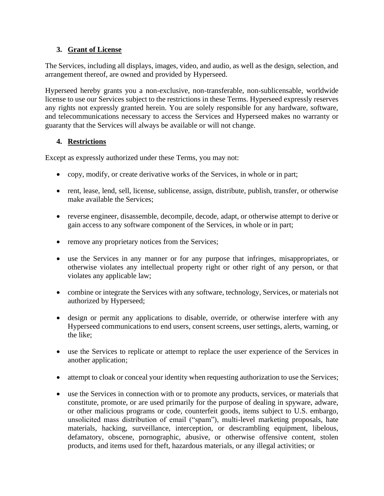# **3. Grant of License**

The Services, including all displays, images, video, and audio, as well as the design, selection, and arrangement thereof, are owned and provided by Hyperseed.

Hyperseed hereby grants you a non-exclusive, non-transferable, non-sublicensable, worldwide license to use our Services subject to the restrictions in these Terms. Hyperseed expressly reserves any rights not expressly granted herein. You are solely responsible for any hardware, software, and telecommunications necessary to access the Services and Hyperseed makes no warranty or guaranty that the Services will always be available or will not change.

# **4. Restrictions**

Except as expressly authorized under these Terms, you may not:

- copy, modify, or create derivative works of the Services, in whole or in part;
- rent, lease, lend, sell, license, sublicense, assign, distribute, publish, transfer, or otherwise make available the Services;
- reverse engineer, disassemble, decompile, decode, adapt, or otherwise attempt to derive or gain access to any software component of the Services, in whole or in part;
- remove any proprietary notices from the Services;
- use the Services in any manner or for any purpose that infringes, misappropriates, or otherwise violates any intellectual property right or other right of any person, or that violates any applicable law;
- combine or integrate the Services with any software, technology, Services, or materials not authorized by Hyperseed;
- design or permit any applications to disable, override, or otherwise interfere with any Hyperseed communications to end users, consent screens, user settings, alerts, warning, or the like;
- use the Services to replicate or attempt to replace the user experience of the Services in another application;
- attempt to cloak or conceal your identity when requesting authorization to use the Services;
- use the Services in connection with or to promote any products, services, or materials that constitute, promote, or are used primarily for the purpose of dealing in spyware, adware, or other malicious programs or code, counterfeit goods, items subject to U.S. embargo, unsolicited mass distribution of email ("spam"), multi-level marketing proposals, hate materials, hacking, surveillance, interception, or descrambling equipment, libelous, defamatory, obscene, pornographic, abusive, or otherwise offensive content, stolen products, and items used for theft, hazardous materials, or any illegal activities; or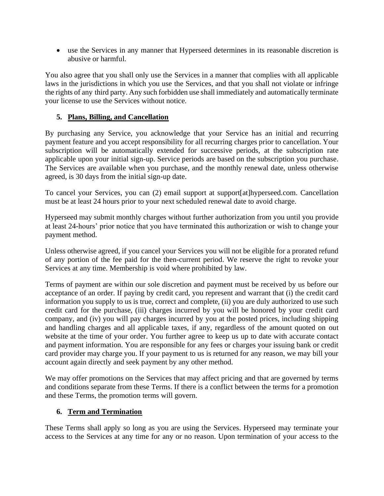• use the Services in any manner that Hyperseed determines in its reasonable discretion is abusive or harmful.

You also agree that you shall only use the Services in a manner that complies with all applicable laws in the jurisdictions in which you use the Services, and that you shall not violate or infringe the rights of any third party. Any such forbidden use shall immediately and automatically terminate your license to use the Services without notice.

# **5. Plans, Billing, and Cancellation**

By purchasing any Service, you acknowledge that your Service has an initial and recurring payment feature and you accept responsibility for all recurring charges prior to cancellation. Your subscription will be automatically extended for successive periods, at the subscription rate applicable upon your initial sign-up. Service periods are based on the subscription you purchase. The Services are available when you purchase, and the monthly renewal date, unless otherwise agreed, is 30 days from the initial sign-up date.

To cancel your Services, you can (2) email support at support[at]hyperseed.com. Cancellation must be at least 24 hours prior to your next scheduled renewal date to avoid charge.

Hyperseed may submit monthly charges without further authorization from you until you provide at least 24-hours' prior notice that you have terminated this authorization or wish to change your payment method.

Unless otherwise agreed, if you cancel your Services you will not be eligible for a prorated refund of any portion of the fee paid for the then-current period. We reserve the right to revoke your Services at any time. Membership is void where prohibited by law.

Terms of payment are within our sole discretion and payment must be received by us before our acceptance of an order. If paying by credit card, you represent and warrant that (i) the credit card information you supply to us is true, correct and complete, (ii) you are duly authorized to use such credit card for the purchase, (iii) charges incurred by you will be honored by your credit card company, and (iv) you will pay charges incurred by you at the posted prices, including shipping and handling charges and all applicable taxes, if any, regardless of the amount quoted on out website at the time of your order. You further agree to keep us up to date with accurate contact and payment information. You are responsible for any fees or charges your issuing bank or credit card provider may charge you. If your payment to us is returned for any reason, we may bill your account again directly and seek payment by any other method.

We may offer promotions on the Services that may affect pricing and that are governed by terms and conditions separate from these Terms. If there is a conflict between the terms for a promotion and these Terms, the promotion terms will govern.

#### **6. Term and Termination**

These Terms shall apply so long as you are using the Services. Hyperseed may terminate your access to the Services at any time for any or no reason. Upon termination of your access to the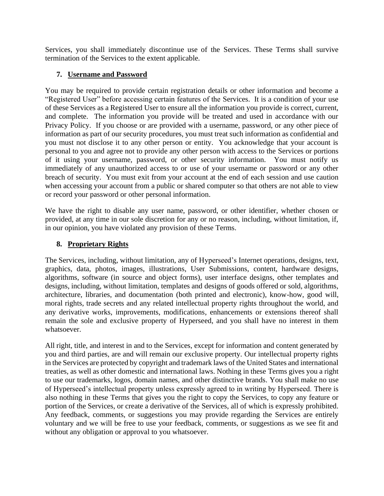Services, you shall immediately discontinue use of the Services. These Terms shall survive termination of the Services to the extent applicable.

# **7. Username and Password**

You may be required to provide certain registration details or other information and become a "Registered User" before accessing certain features of the Services. It is a condition of your use of these Services as a Registered User to ensure all the information you provide is correct, current, and complete. The information you provide will be treated and used in accordance with our Privacy Policy. If you choose or are provided with a username, password, or any other piece of information as part of our security procedures, you must treat such information as confidential and you must not disclose it to any other person or entity. You acknowledge that your account is personal to you and agree not to provide any other person with access to the Services or portions of it using your username, password, or other security information. You must notify us immediately of any unauthorized access to or use of your username or password or any other breach of security. You must exit from your account at the end of each session and use caution when accessing your account from a public or shared computer so that others are not able to view or record your password or other personal information.

We have the right to disable any user name, password, or other identifier, whether chosen or provided, at any time in our sole discretion for any or no reason, including, without limitation, if, in our opinion, you have violated any provision of these Terms.

### **8. Proprietary Rights**

The Services, including, without limitation, any of Hyperseed's Internet operations, designs, text, graphics, data, photos, images, illustrations, User Submissions, content, hardware designs, algorithms, software (in source and object forms), user interface designs, other templates and designs, including, without limitation, templates and designs of goods offered or sold, algorithms, architecture, libraries, and documentation (both printed and electronic), know-how, good will, moral rights, trade secrets and any related intellectual property rights throughout the world, and any derivative works, improvements, modifications, enhancements or extensions thereof shall remain the sole and exclusive property of Hyperseed, and you shall have no interest in them whatsoever.

All right, title, and interest in and to the Services, except for information and content generated by you and third parties, are and will remain our exclusive property. Our intellectual property rights in the Services are protected by copyright and trademark laws of the United States and international treaties, as well as other domestic and international laws. Nothing in these Terms gives you a right to use our trademarks, logos, domain names, and other distinctive brands. You shall make no use of Hyperseed's intellectual property unless expressly agreed to in writing by Hyperseed. There is also nothing in these Terms that gives you the right to copy the Services, to copy any feature or portion of the Services, or create a derivative of the Services, all of which is expressly prohibited. Any feedback, comments, or suggestions you may provide regarding the Services are entirely voluntary and we will be free to use your feedback, comments, or suggestions as we see fit and without any obligation or approval to you whatsoever.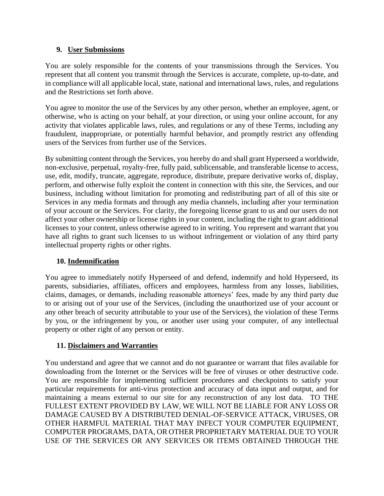### **9. User Submissions**

You are solely responsible for the contents of your transmissions through the Services. You represent that all content you transmit through the Services is accurate, complete, up-to-date, and in compliance will all applicable local, state, national and international laws, rules, and regulations and the Restrictions set forth above.

You agree to monitor the use of the Services by any other person, whether an employee, agent, or otherwise, who is acting on your behalf, at your direction, or using your online account, for any activity that violates applicable laws, rules, and regulations or any of these Terms, including any fraudulent, inappropriate, or potentially harmful behavior, and promptly restrict any offending users of the Services from further use of the Services.

By submitting content through the Services, you hereby do and shall grant Hyperseed a worldwide, non-exclusive, perpetual, royalty-free, fully paid, sublicensable, and transferable license to access, use, edit, modify, truncate, aggregate, reproduce, distribute, prepare derivative works of, display, perform, and otherwise fully exploit the content in connection with this site, the Services, and our business, including without limitation for promoting and redistributing part of all of this site or Services in any media formats and through any media channels, including after your termination of your account or the Services. For clarity, the foregoing license grant to us and our users do not affect your other ownership or license rights in your content, including the right to grant additional licenses to your content, unless otherwise agreed to in writing. You represent and warrant that you have all rights to grant such licenses to us without infringement or violation of any third party intellectual property rights or other rights.

# **10. Indemnification**

You agree to immediately notify Hyperseed of and defend, indemnify and hold Hyperseed, its parents, subsidiaries, affiliates, officers and employees, harmless from any losses, liabilities, claims, damages, or demands, including reasonable attorneys' fees, made by any third party due to or arising out of your use of the Services, (including the unauthorized use of your account or any other breach of security attributable to your use of the Services), the violation of these Terms by you, or the infringement by you, or another user using your computer, of any intellectual property or other right of any person or entity.

#### **11. Disclaimers and Warranties**

You understand and agree that we cannot and do not guarantee or warrant that files available for downloading from the Internet or the Services will be free of viruses or other destructive code. You are responsible for implementing sufficient procedures and checkpoints to satisfy your particular requirements for anti-virus protection and accuracy of data input and output, and for maintaining a means external to our site for any reconstruction of any lost data. TO THE FULLEST EXTENT PROVIDED BY LAW, WE WILL NOT BE LIABLE FOR ANY LOSS OR DAMAGE CAUSED BY A DISTRIBUTED DENIAL-OF-SERVICE ATTACK, VIRUSES, OR OTHER HARMFUL MATERIAL THAT MAY INFECT YOUR COMPUTER EQUIPMENT, COMPUTER PROGRAMS, DATA, OR OTHER PROPRIETARY MATERIAL DUE TO YOUR USE OF THE SERVICES OR ANY SERVICES OR ITEMS OBTAINED THROUGH THE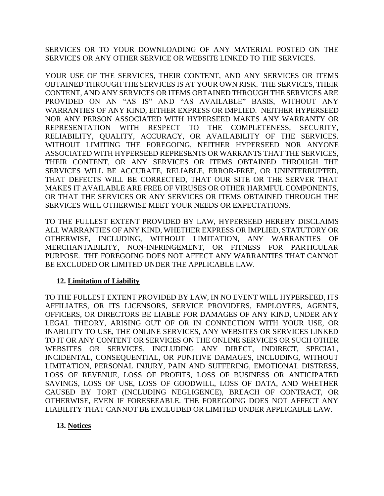SERVICES OR TO YOUR DOWNLOADING OF ANY MATERIAL POSTED ON THE SERVICES OR ANY OTHER SERVICE OR WEBSITE LINKED TO THE SERVICES.

YOUR USE OF THE SERVICES, THEIR CONTENT, AND ANY SERVICES OR ITEMS OBTAINED THROUGH THE SERVICES IS AT YOUR OWN RISK. THE SERVICES, THEIR CONTENT, AND ANY SERVICES OR ITEMS OBTAINED THROUGH THE SERVICES ARE PROVIDED ON AN "AS IS" AND "AS AVAILABLE" BASIS, WITHOUT ANY WARRANTIES OF ANY KIND, EITHER EXPRESS OR IMPLIED. NEITHER HYPERSEED NOR ANY PERSON ASSOCIATED WITH HYPERSEED MAKES ANY WARRANTY OR REPRESENTATION WITH RESPECT TO THE COMPLETENESS, SECURITY, RELIABILITY, QUALITY, ACCURACY, OR AVAILABILITY OF THE SERVICES. WITHOUT LIMITING THE FOREGOING, NEITHER HYPERSEED NOR ANYONE ASSOCIATED WITH HYPERSEED REPRESENTS OR WARRANTS THAT THE SERVICES, THEIR CONTENT, OR ANY SERVICES OR ITEMS OBTAINED THROUGH THE SERVICES WILL BE ACCURATE, RELIABLE, ERROR-FREE, OR UNINTERRUPTED, THAT DEFECTS WILL BE CORRECTED, THAT OUR SITE OR THE SERVER THAT MAKES IT AVAILABLE ARE FREE OF VIRUSES OR OTHER HARMFUL COMPONENTS, OR THAT THE SERVICES OR ANY SERVICES OR ITEMS OBTAINED THROUGH THE SERVICES WILL OTHERWISE MEET YOUR NEEDS OR EXPECTATIONS.

TO THE FULLEST EXTENT PROVIDED BY LAW, HYPERSEED HEREBY DISCLAIMS ALL WARRANTIES OF ANY KIND, WHETHER EXPRESS OR IMPLIED, STATUTORY OR OTHERWISE, INCLUDING, WITHOUT LIMITATION, ANY WARRANTIES OF MERCHANTABILITY, NON-INFRINGEMENT, OR FITNESS FOR PARTICULAR PURPOSE. THE FOREGOING DOES NOT AFFECT ANY WARRANTIES THAT CANNOT BE EXCLUDED OR LIMITED UNDER THE APPLICABLE LAW.

#### **12. Limitation of Liability**

TO THE FULLEST EXTENT PROVIDED BY LAW, IN NO EVENT WILL HYPERSEED, ITS AFFILIATES, OR ITS LICENSORS, SERVICE PROVIDERS, EMPLOYEES, AGENTS, OFFICERS, OR DIRECTORS BE LIABLE FOR DAMAGES OF ANY KIND, UNDER ANY LEGAL THEORY, ARISING OUT OF OR IN CONNECTION WITH YOUR USE, OR INABILITY TO USE, THE ONLINE SERVICES, ANY WEBSITES OR SERVICES LINKED TO IT OR ANY CONTENT OR SERVICES ON THE ONLINE SERVICES OR SUCH OTHER WEBSITES OR SERVICES, INCLUDING ANY DIRECT, INDIRECT, SPECIAL, INCIDENTAL, CONSEQUENTIAL, OR PUNITIVE DAMAGES, INCLUDING, WITHOUT LIMITATION, PERSONAL INJURY, PAIN AND SUFFERING, EMOTIONAL DISTRESS, LOSS OF REVENUE, LOSS OF PROFITS, LOSS OF BUSINESS OR ANTICIPATED SAVINGS, LOSS OF USE, LOSS OF GOODWILL, LOSS OF DATA, AND WHETHER CAUSED BY TORT (INCLUDING NEGLIGENCE), BREACH OF CONTRACT, OR OTHERWISE, EVEN IF FORESEEABLE. THE FOREGOING DOES NOT AFFECT ANY LIABILITY THAT CANNOT BE EXCLUDED OR LIMITED UNDER APPLICABLE LAW.

#### **13. Notices**